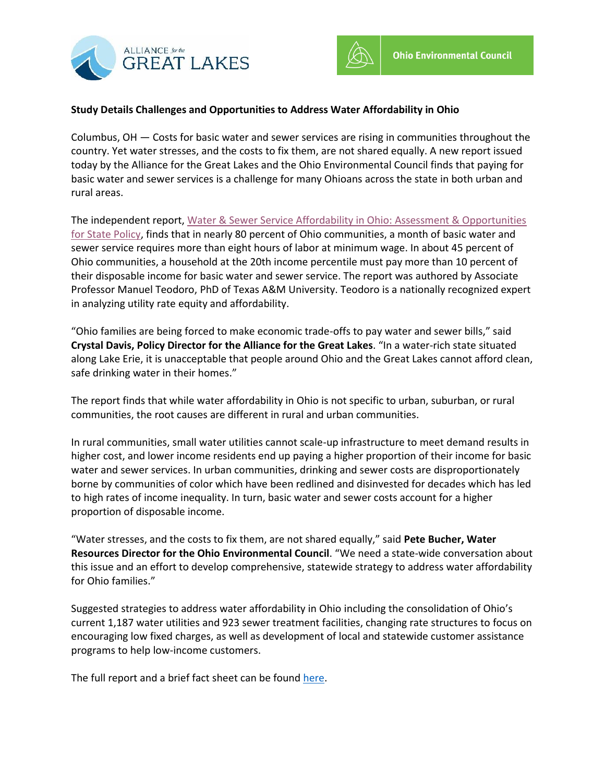



## **Study Details Challenges and Opportunities to Address Water Affordability in Ohio**

Columbus, OH — Costs for basic water and sewer services are rising in communities throughout the country. Yet water stresses, and the costs to fix them, are not shared equally. A new report issued today by the Alliance for the Great Lakes and the Ohio Environmental Council finds that paying for basic water and sewer services is a challenge for many Ohioans across the state in both urban and rural areas.

The independent report, [Water & Sewer Service Affordability in Ohio: Assessment & Opportunities](https://greatlakes.org/wp-content/uploads/2019/11/AGLOEC-Affordability-Final-Report_1Nov2019.pdf)  [for State Policy,](https://greatlakes.org/wp-content/uploads/2019/11/AGLOEC-Affordability-Final-Report_1Nov2019.pdf) finds that in nearly 80 percent of Ohio communities, a month of basic water and sewer service requires more than eight hours of labor at minimum wage. In about 45 percent of Ohio communities, a household at the 20th income percentile must pay more than 10 percent of their disposable income for basic water and sewer service. The report was authored by Associate Professor Manuel Teodoro, PhD of Texas A&M University. Teodoro is a nationally recognized expert in analyzing utility rate equity and affordability.

"Ohio families are being forced to make economic trade-offs to pay water and sewer bills," said **Crystal Davis, Policy Director for the Alliance for the Great Lakes**. "In a water-rich state situated along Lake Erie, it is unacceptable that people around Ohio and the Great Lakes cannot afford clean, safe drinking water in their homes."

The report finds that while water affordability in Ohio is not specific to urban, suburban, or rural communities, the root causes are different in rural and urban communities.

In rural communities, small water utilities cannot scale-up infrastructure to meet demand results in higher cost, and lower income residents end up paying a higher proportion of their income for basic water and sewer services. In urban communities, drinking and sewer costs are disproportionately borne by communities of color which have been redlined and disinvested for decades which has led to high rates of income inequality. In turn, basic water and sewer costs account for a higher proportion of disposable income.

"Water stresses, and the costs to fix them, are not shared equally," said **Pete Bucher, Water Resources Director for the Ohio Environmental Council**. "We need a state-wide conversation about this issue and an effort to develop comprehensive, statewide strategy to address water affordability for Ohio families."

Suggested strategies to address water affordability in Ohio including the consolidation of Ohio's current 1,187 water utilities and 923 sewer treatment facilities, changing rate structures to focus on encouraging low fixed charges, as well as development of local and statewide customer assistance programs to help low-income customers.

The full report and a brief fact sheet can be found [here.](https://greatlakes.org/water-affordability-ohio-report/)